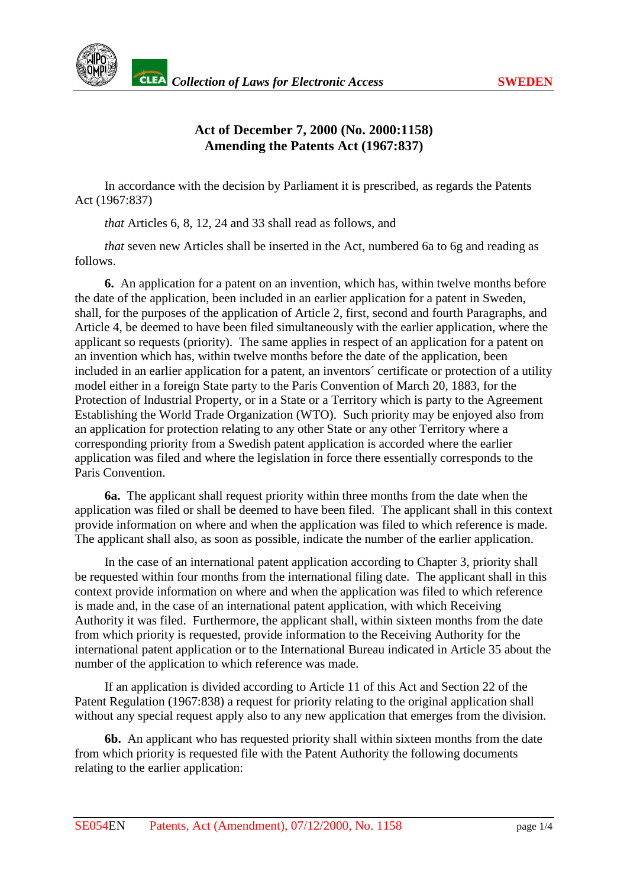

## **Act of December 7, 2000 (No. 2000:1158) Amending the Patents Act (1967:837)**

In accordance with the decision by Parliament it is prescribed, as regards the Patents Act(1967:837)

*that* Articles 6, 8, 12, 24 and 33 shall read as follows, and

*that* seven new Ar ticles shall be inserted in the Act, numbered 6a to 6g and reading as follows.

**6.** An application for a patent on an invention, which has, within twelve months before the date of the application, been included in an earlier application for a patent in Swed en, shall, for the purposes of the application of Article 2, first, second and fourth Paragraphs, and Article4, be deemed to have been filed simultaneously with the earlier application, where the applicant sortequests (priority). The same applies in resp ect of an application for a patent on an invention which has, with intwelve months before the date of the application, been included in an earlier application for a patent, an inventors' certificate or protection of autility model either ina foreign Stat eparty to the Paris Convention of March 20, 1883, for the Protection of Industrial Property, or in a State or a Territory which is party to the Agreement Establishing the World Trade Organization (WTO). Such priority may be enjoyed also from an applicati on for protection relating to any other State or any other Territory where a corresponding priority from a Swedish patent application is accorded where the earlier application was filed and where the legislation in force the reessentially corresponds to the equal to the equal to the equal to the equal to the equal to the equal to the equal to the equal to the equal to the equal to th Paris Convention.

**6a.** The applicant shall request priority within three months from the date when the application was filed or shall be deemed to have been filed. The applicant shall in this context provide information on where and when the application was filed to which reference is made. The applicant shall also, as soon as possible, indicate the number of the earlier application.

In the case of an international patent application according to Chapter 3, priority shall be requested within four months from the international filing date. The applicant shall in this context provide information on where and when the application was filed to which reference is made and, in the case of an international patent application, with which Receiving Authority it was filed. Furthermore, the applicant shall, within sixteen months from the date from which priority is requested, provide information to the Receiving Authority for the international patent application or to the International Bureau indicated in Article 35 about the number of the application to which reference was made.

If an application is divided according to Article 11 of this Act and Section 22 of the Patent Regulation (1967:838) arequest for priority relating to the original application shall without any special request apply also to any new application that emerges from the division.

**6b.** Anapplicant who has requested priority shall within sixteen months from the date from which priority is requested file with the Patent Authority the following doc uments relating to the earlier application: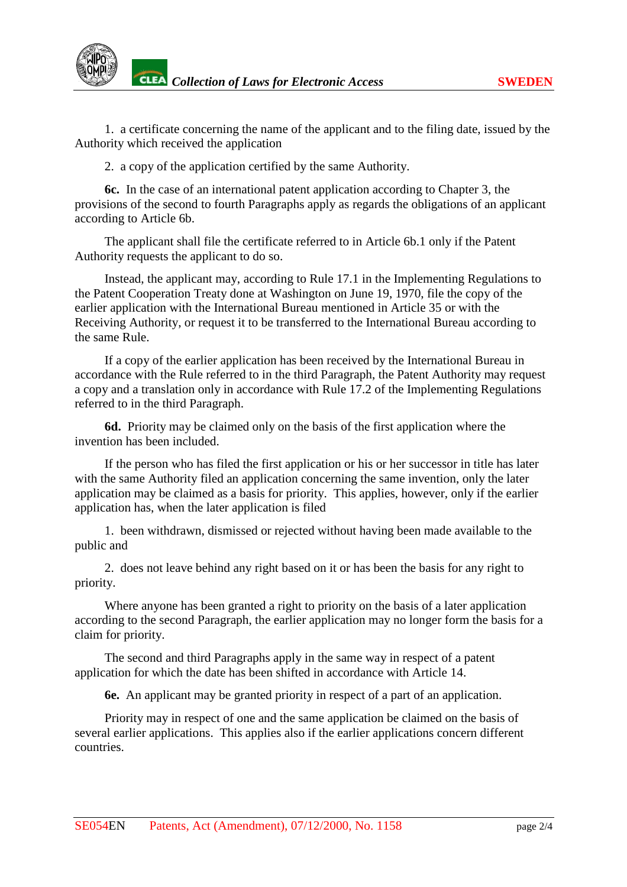1. a certificate concerning the name of the applicant and to the filing date, issued by the Authority which received the application

2. a copy of the application certified by the same Authority.

**6c.** In the cas eof an international patent application according to Chapter 3, the provisions of the second to fourth Paragraphs apply as regards the obligations of an applicant according to Article 6b.

The applicants hall file the certificate referred to in Article 6b. 1 only if the Patent Authority requests the applicant todoso.

Instead, the applicant may, according to Rule 17.1 in the Implementing Regulations to the Patent Cooperation Treaty done at Washington on June 19, 1970, file the copy of the earlier applicatio n with the International Bureau mentioned in Article 35 or with the Receiving Authority, or requestit to be transferred to the International Bureau according to the same Rule.

If a copy of the earlier application has been received by the International Bur eau in accordance with the Rule referred to in the third Paragraph, the Patent Authority may request a copy and a translation only in accordance with Rule 17.2 of the Implementing Regulations referred to in the third Paragraph.

**6d.** Priority may be claimed only on the basis of the first application where the invention has been included.

If the person who has filed the first application or his or her successor in title has later with the same Authority filed an application concerning the same invention, only the later application may be claimed as a basis for priority. This applies, however, only if the earlier application has, when the later application is filed

1. been withdrawn, dismissed or rejected without having been made available to the publicand

2. does not leave behind any right based on it or has been the basis for any right to priority.

Where anyone has been granted a right to priority on the basis of a later application according to the second Paragraph, the earlier application may no longer form the basis for a claim for priority.

The second and third Paragraphs apply in the same way in respect of a patent application for which the date has been shifted in accordance with Article 14.

**6e.** Anapplicant may be granted priority in respect of a parameter in the form application.

Priority may in respect of one and the same application beclaimed on the basis of several earlier applications. This applies also if the earlier applications concern different countries.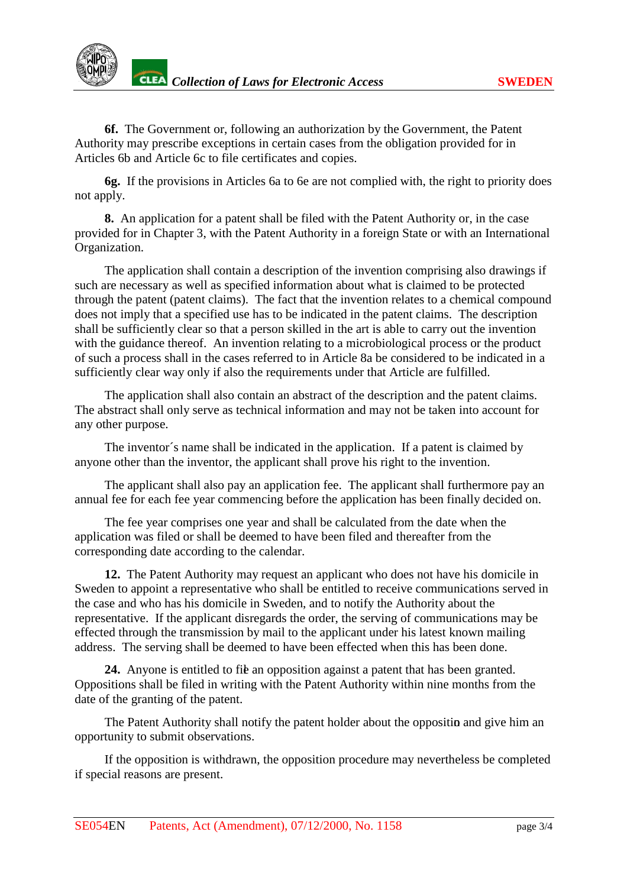

**6f.** The Government or, following an authoriz ation by the Government, the Patent Authority may prescribe exceptions incertain cases from the obligation provided for in Articles 6b and Article 6c to file certificates and copies.

**6g.** If the provisions in Articles 6a to 6e are not complied with, the r ight to priority does notapply.

**8.** An application for a patent shall be filed with the Patent Authority or, in the case provided for in Chapter 3, with the Patent Authority in a foreign State or with an International Organization.

The application shall c ontain a description of the invention comprising also drawings if such are necessary as well as specified information about what is claimed to be protected through the patent (patent claims). The fact that the invention relates to a chemical compound does not imply that a specified use has to be indicated in the patent claims. The description shall be sufficiently clears othat a person skilled in the artisable to carry out the invention with the guidance thereof. An invention relating to a microbiolog ical process or the product of such a process shall in the cases referred to in Article 8a be considered to be indicated in a sufficiently clear way only if also the requirements under that Article are fulfilled.

The application shall also contain an abstrated the description and the patent claims. The abstractshall only serve as technical information and may not be taken into account for any other purpose.

The inventor's names hall be indicated in the application. If a patent is claimed by anyone othe r than the inventor, the applicant shall prove his right to the invention.

The applicant shall also pay an application fee. The applicant shall furthermore pay an annual fee for each fee year commencing before the application has been finally decided on.

The fee year comprises one year and shall be calculated from the date when the application was filed or shall be deemed to have been filed and thereafter from the corresponding date according to the calendar.

**12.** The Patent Authority may request an applic ant who does not have his domicile in Swedentoappointarepresentative who shall be entitled to receive communications served in the case and who has his domicile in Sweden, and to notify the Authority about the representative. If the applicant disregar ds the order, the serving of communications may be effected through the transmission by mail to the applicant under his latest known mailing address. The serving shall be deemed to have been effected when this has been done.

24. Anyone is entitled to file anopposition against a patent that has been granted. Oppositions shall be filed in writing with the Patent Authority with innine months from the date of the granting of the patent.

The Patent Authority shall notify the patent holder about the opposition and give him an opportunity to submit observations.

If the opposition is withdrawn, the opposition procedure may nevertheless be completed if special reasons are present.